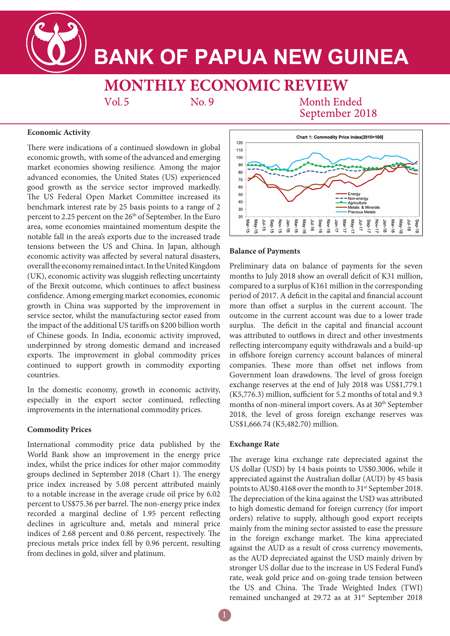**BANK OF PAPUA NEW GUINEA** 

# **MONTHLY ECONOMIC REVIEW**

 $Vol.5$ 

No.9

Month Ended September 2018

### **Economic Activity**

There were indications of a continued slowdown in global economic growth, with some of the advanced and emerging market economies showing resilience. Among the major advanced economies, the United States (US) experienced good growth as the service sector improved markedly. The US Federal Open Market Committee increased its benchmark interest rate by 25 basis points to a range of 2 percent to 2.25 percent on the 26<sup>th</sup> of September. In the Euro area, some economies maintained momentum despite the notable fall in the area's exports due to the increased trade tensions between the US and China. In Japan, although economic activity was affected by several natural disasters, overall the economy remained intact. In the United Kingdom (UK), economic activity was sluggish reflecting uncertainty of the Brexit outcome, which continues to affect business confidence. Among emerging market economies, economic growth in China was supported by the improvement in service sector, whilst the manufacturing sector eased from the impact of the additional US tariffs on \$200 billion worth of Chinese goods. In India, economic activity improved, underpinned by strong domestic demand and increased exports. The improvement in global commodity prices continued to support growth in commodity exporting countries.

In the domestic economy, growth in economic activity, especially in the export sector continued, reflecting improvements in the international commodity prices.

## **Commodity Prices**

International commodity price data published by the World Bank show an improvement in the energy price index, whilst the price indices for other major commodity groups declined in September 2018 (Chart 1). The energy price index increased by 5.08 percent attributed mainly to a notable increase in the average crude oil price by 6.02 percent to US\$75.36 per barrel. The non-energy price index recorded a marginal decline of 1.95 percent reflecting declines in agriculture and, metals and mineral price indices of 2.68 percent and 0.86 percent, respectively. The precious metals price index fell by 0.96 percent, resulting from declines in gold, silver and platinum.



#### **Balance of Payments**

Preliminary data on balance of payments for the seven months to July 2018 show an overall deficit of K31 million, compared to a surplus of K161 million in the corresponding period of 2017. A deficit in the capital and financial account more than offset a surplus in the current account. The outcome in the current account was due to a lower trade surplus. The deficit in the capital and financial account was attributed to outflows in direct and other investments reflecting intercompany equity withdrawals and a build-up in offshore foreign currency account balances of mineral companies. These more than offset net inflows from Government loan drawdowns. The level of gross foreign exchange reserves at the end of July 2018 was US\$1,779.1 (K5,776.3) million, sufficient for 5.2 months of total and 9.3 months of non-mineral import covers. As at 30<sup>th</sup> September 2018, the level of gross foreign exchange reserves was US\$1,666.74 (K5,482.70) million.

#### **Exchange Rate**

The average kina exchange rate depreciated against the US dollar (USD) by 14 basis points to US\$0.3006, while it appreciated against the Australian dollar (AUD) by 45 basis points to AU\$0.4168 over the month to 31<sup>st</sup> September 2018. The depreciation of the kina against the USD was attributed to high domestic demand for foreign currency (for import orders) relative to supply, although good export receipts mainly from the mining sector assisted to ease the pressure in the foreign exchange market. The kina appreciated against the AUD as a result of cross currency movements, as the AUD depreciated against the USD mainly driven by stronger US dollar due to the increase in US Federal Fund's rate, weak gold price and on-going trade tension between the US and China. The Trade Weighted Index (TWI) remained unchanged at 29.72 as at 31<sup>st</sup> September 2018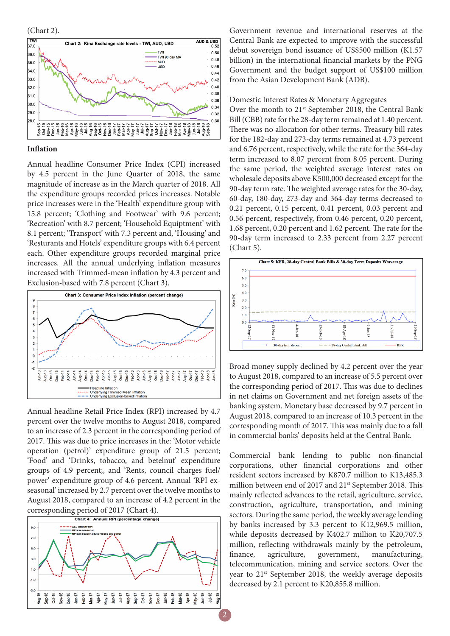(Chart 2).



#### **Inflation**

Annual headline Consumer Price Index (CPI) increased by 4.5 percent in the June Quarter of 2018, the same magnitude of increase as in the March quarter of 2018. All the expenditure groups recorded prices increases. Notable price increases were in the 'Health' expenditure group with 15.8 percent; 'Clothing and Footwear' with 9.6 percent; 'Recreation' with 8.7 percent; 'Household Equiptment' with 8.1 percent; 'Transport' with 7.3 percent and, 'Housing' and 'Resturants and Hotels' expenditure groups with 6.4 percent each. Other expenditure groups recorded marginal price increases. All the annual underlying inflation measures increased with Trimmed-mean inflation by 4.3 percent and Exclusion-based with 7.8 percent (Chart 3).



Annual headline Retail Price Index (RPI) increased by 4.7 percent over the twelve months to August 2018, compared to an increase of 2.3 percent in the corresponding period of 2017. This was due to price increases in the: 'Motor vehicle operation (petrol)' expenditure group of 21.5 percent; 'Food' and 'Drinks, tobacco, and betelnut' expenditure groups of 4.9 percent;, and 'Rents, council charges fuel/ power' expenditure group of 4.6 percent. Annual 'RPI exseasonal' increased by 2.7 percent over the twelve months to August 2018, compared to an increase of 4.2 percent in the corresponding period of 2017 (Chart 4).



Government revenue and international reserves at the Central Bank are expected to improve with the successful debut sovereign bond issuance of US\$500 million (K1.57 billion) in the international financial markets by the PNG Government and the budget support of US\$100 million from the Asian Development Bank (ADB).

Domestic Interest Rates & Monetary Aggregates

Over the month to 21<sup>st</sup> September 2018, the Central Bank Bill (CBB) rate for the 28-day term remained at 1.40 percent. There was no allocation for other terms. Treasury bill rates for the 182-day and 273-day terms remained at 4.73 percent and 6.76 percent, respectively, while the rate for the 364-day term increased to 8.07 percent from 8.05 percent. During the same period, the weighted average interest rates on wholesale deposits above K500,000 decreased except for the 90-day term rate. The weighted average rates for the 30-day, 60-day, 180-day, 273-day and 364-day terms decreased to 0.21 percent, 0.15 percent, 0.41 percent, 0.03 percent and 0.56 percent, respectively, from 0.46 percent, 0.20 percent, 1.68 percent, 0.20 percent and 1.62 percent. The rate for the 90-day term increased to 2.33 percent from 2.27 percent (Chart 5).



Broad money supply declined by 4.2 percent over the year to August 2018, compared to an increase of 5.5 percent over the corresponding period of 2017. This was due to declines in net claims on Government and net foreign assets of the banking system. Monetary base decreased by 9.7 percent in August 2018, compared to an increase of 10.3 percent in the corresponding month of 2017. This was mainly due to a fall in commercial banks' deposits held at the Central Bank.

Commercial bank lending to public non-financial corporations, other financial corporations and other resident sectors increased by K870.7 million to K13,485.3 million between end of 2017 and 21<sup>st</sup> September 2018. This mainly reflected advances to the retail, agriculture, service, construction, agriculture, transportation, and mining sectors. During the same period, the weekly average lending by banks increased by 3.3 percent to K12,969.5 million, while deposits decreased by K402.7 million to K20,707.5 million, reflecting withdrawals mainly by the petroleum, finance, agriculture, government, manufacturing, telecommunication, mining and service sectors. Over the year to 21st September 2018, the weekly average deposits decreased by 2.1 percent to K20,855.8 million.